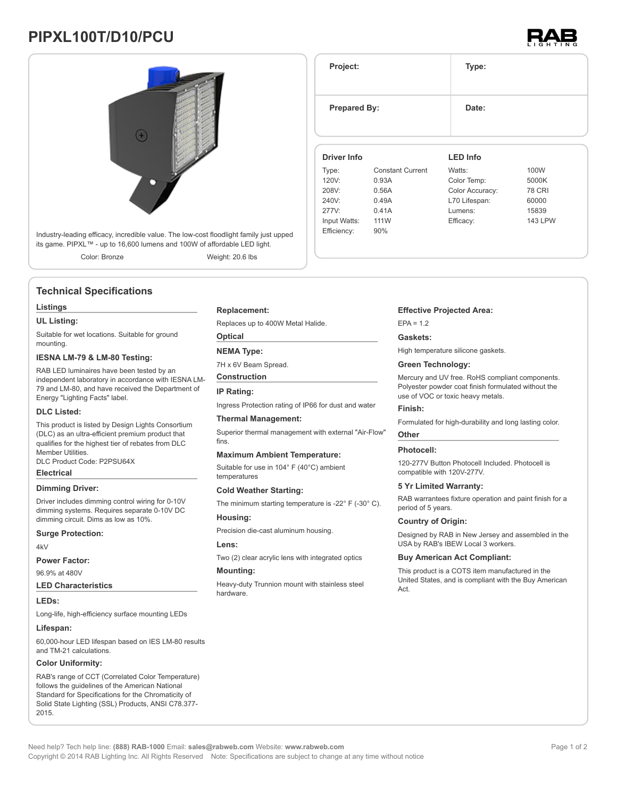## **PIPXL100T/D10/PCU**





### **Technical Specifications**

#### **Listings**

#### **UL Listing:**

Suitable for wet locations. Suitable for ground mounting.

#### **IESNA LM-79 & LM-80 Testing:**

RAB LED luminaires have been tested by an independent laboratory in accordance with IESNA LM-79 and LM-80, and have received the Department of Energy "Lighting Facts" label.

#### **DLC Listed:**

This product is listed by Design Lights Consortium (DLC) as an ultra-efficient premium product that qualifies for the highest tier of rebates from DLC Member Utilities. DLC Product Code: P2PSU64X

#### **Electrical**

#### **Dimming Driver:**

Driver includes dimming control wiring for 0-10V dimming systems. Requires separate 0-10V DC dimming circuit. Dims as low as 10%.

#### **Surge Protection:**

 $4kV$ 

#### **Power Factor:**

96.9% at 480V

**LED Characteristics**

#### **LEDs:**

Long-life, high-efficiency surface mounting LEDs

#### **Lifespan:**

60,000-hour LED lifespan based on IES LM-80 results and TM-21 calculations.

#### **Color Uniformity:**

RAB's range of CCT (Correlated Color Temperature) follows the guidelines of the American National Standard for Specifications for the Chromaticity of Solid State Lighting (SSL) Products, ANSI C78.377- 2015.

#### **Replacement:**

Replaces up to 400W Metal Halide.

**Optical**

#### **NEMA Type:**

7H x 6V Beam Spread.

**Construction**

#### **IP Rating:**

Ingress Protection rating of IP66 for dust and water

#### **Thermal Management:**

Superior thermal management with external "Air-Flow" fins.

#### **Maximum Ambient Temperature:**

Suitable for use in 104° F (40°C) ambient temperatures

#### **Cold Weather Starting:**

The minimum starting temperature is -22° F (-30° C).

#### **Housing:**

Precision die-cast aluminum housing.

#### **Lens:**

Two (2) clear acrylic lens with integrated optics

#### **Mounting:**

Heavy-duty Trunnion mount with stainless steel hardware.

# **Project: Type: Prepared By:** Date: **Driver Info LED Info**

| Type:        | <b>Constant Current</b> | Watts:          | 100W           |
|--------------|-------------------------|-----------------|----------------|
| 120V:        | 0.93A                   | Color Temp:     | 5000K          |
| 208V:        | 0.56A                   | Color Accuracy: | <b>78 CRI</b>  |
| 240V:        | 0.49A                   | L70 Lifespan:   | 60000          |
| 277V:        | 0.41A                   | Lumens:         | 15839          |
| Input Watts: | 111W                    | Efficacy:       | <b>143 LPW</b> |
| Efficiency:  | 90%                     |                 |                |
|              |                         |                 |                |

#### **Effective Projected Area:**

 $FPA = 1.2$ 

#### **Gaskets:**

High temperature silicone gaskets.

#### **Green Technology:**

Mercury and UV free. RoHS compliant components. Polyester powder coat finish formulated without the use of VOC or toxic heavy metals.

#### **Finish:**

Formulated for high-durability and long lasting color.

#### **Other**

#### **Photocell:**

120-277V Button Photocell Included. Photocell is compatible with 120V-277V.

#### **5 Yr Limited Warranty:**

RAB warrantees fixture operation and paint finish for a period of 5 years.

#### **Country of Origin:**

Designed by RAB in New Jersey and assembled in the USA by RAB's IBEW Local 3 workers.

#### **Buy American Act Compliant:**

This product is a COTS item manufactured in the United States, and is compliant with the Buy American  $\Delta$ ct